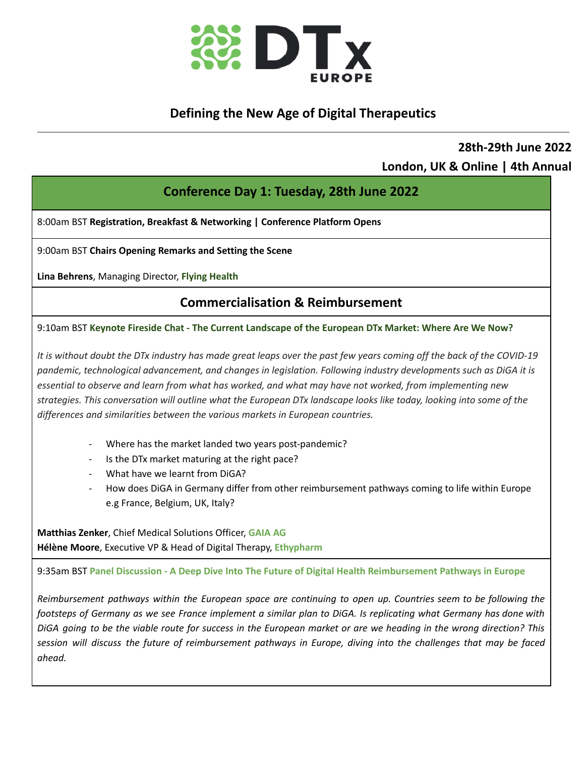

## **Defining the New Age of Digital Therapeutics**

## **28th-29th June 2022 London, UK & Online | 4th Annual**

## **Conference Day 1: Tuesday, 28th June 2022**

8:00am BST **Registration, Breakfast & Networking | Conference Platform Opens**

9:00am BST **Chairs Opening Remarks and Setting the Scene**

**Lina Behrens**, Managing Director, **Flying Health**

## **Commercialisation & Reimbursement**

9:10am BST **Keynote Fireside Chat - The Current Landscape of the European DTx Market: Where Are We Now?**

It is without doubt the DTx industry has made great leaps over the past few years coming off the back of the COVID-19 *pandemic, technological advancement, and changes in legislation. Following industry developments such as DiGA it is* essential to observe and learn from what has worked, and what may have not worked, from implementing new strategies. This conversation will outline what the European DTx landscape looks like today, looking into some of the *differences and similarities between the various markets in European countries.*

- Where has the market landed two years post-pandemic?
- Is the DTx market maturing at the right pace?
- What have we learnt from DiGA?
- How does DiGA in Germany differ from other reimbursement pathways coming to life within Europe e.g France, Belgium, UK, Italy?

**Matthias Zenker**, Chief Medical Solutions Officer, **GAIA AG Hélène Moore**, Executive VP & Head of Digital Therapy, **Ethypharm**

9:35am BST **Panel Discussion - A Deep Dive Into The Future of Digital Health Reimbursement Pathways in Europe**

Reimbursement pathways within the European space are continuing to open up. Countries seem to be following the footsteps of Germany as we see France implement a similar plan to DiGA. Is replicating what Germany has done with DiGA going to be the viable route for success in the European market or are we heading in the wrong direction? This session will discuss the future of reimbursement pathways in Europe, diving into the challenges that may be faced *ahead.*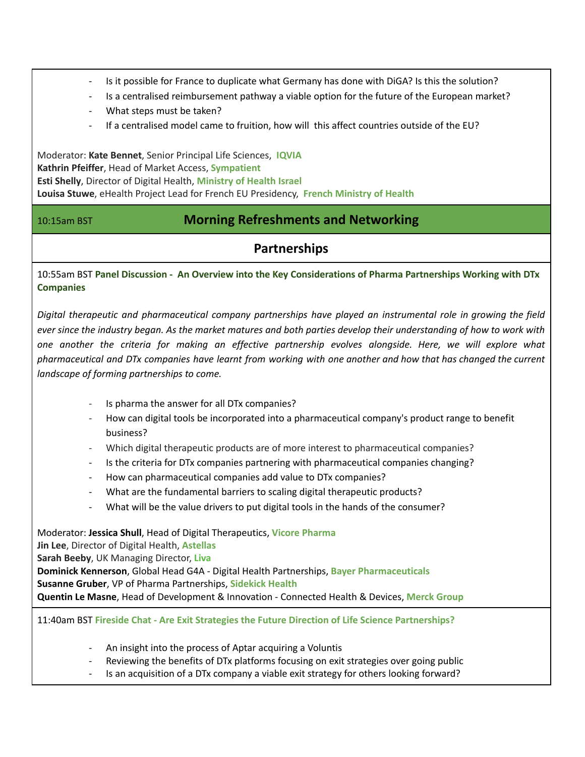- Is it possible for France to duplicate what Germany has done with DiGA? Is this the solution?
- Is a centralised reimbursement pathway a viable option for the future of the European market?
- What steps must be taken?
- If a centralised model came to fruition, how will this affect countries outside of the EU?

Moderator: **Kate Bennet**, Senior Principal Life Sciences, **IQVIA Kathrin Pfeiffer**, Head of Market Access, **Sympatient Esti Shelly**, Director of Digital Health, **Ministry of Health Israel Louisa Stuwe**, eHealth Project Lead for French EU Presidency, **French Ministry of Health**

### 10:15am BST **Morning Refreshments and Networking**

## **Partnerships**

10:55am BST **Panel Discussion - An Overview into the Key Considerations of Pharma Partnerships Working with DTx Companies**

*Digital therapeutic and pharmaceutical company partnerships have played an instrumental role in growing the field* ever since the industry began. As the market matures and both parties develop their understanding of how to work with *one another the criteria for making an effective partnership evolves alongside. Here, we will explore what* pharmaceutical and DTx companies have learnt from working with one another and how that has changed the current *landscape of forming partnerships to come.*

- Is pharma the answer for all DTx companies?
- How can digital tools be incorporated into a pharmaceutical company's product range to benefit business?
- Which digital therapeutic products are of more interest to pharmaceutical companies?
- Is the criteria for DTx companies partnering with pharmaceutical companies changing?
- How can pharmaceutical companies add value to DTx companies?
- What are the fundamental barriers to scaling digital therapeutic products?
- What will be the value drivers to put digital tools in the hands of the consumer?

Moderator: **Jessica Shull**, Head of Digital Therapeutics, **Vicore Pharma Jin Lee**, Director of Digital Health, **Astellas Sarah Beeby**, UK Managing Director, **Liva Dominick Kennerson**, Global Head G4A - Digital Health Partnerships, **Bayer Pharmaceuticals Susanne Gruber**, VP of Pharma Partnerships, **Sidekick Health Quentin Le Masne**, Head of Development & Innovation - Connected Health & Devices, **Merck Group**

11:40am BST **Fireside Chat - Are Exit Strategies the Future Direction of Life Science Partnerships?**

- An insight into the process of Aptar acquiring a Voluntis
- Reviewing the benefits of DTx platforms focusing on exit strategies over going public
- Is an acquisition of a DTx company a viable exit strategy for others looking forward?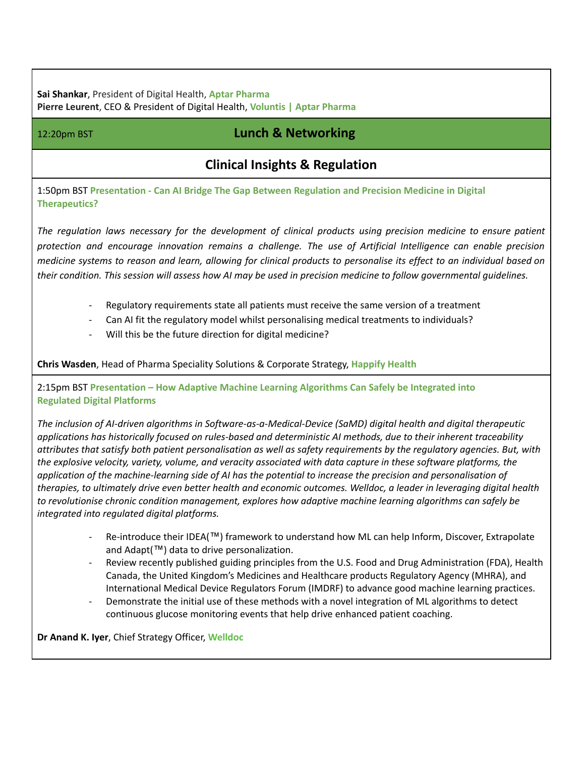**Sai Shankar**, President of Digital Health, **Aptar Pharma Pierre Leurent**, CEO & President of Digital Health, **Voluntis | Aptar Pharma**

## 12:20pm BST **Lunch & Networking**

## **Clinical Insights & Regulation**

1:50pm BST **Presentation - Can AI Bridge The Gap Between Regulation and Precision Medicine in Digital Therapeutics?**

The regulation laws necessary for the development of clinical products using precision medicine to ensure patient *protection and encourage innovation remains a challenge. The use of Artificial Intelligence can enable precision* medicine systems to reason and learn, allowing for clinical products to personalise its effect to an individual based on their condition. This session will assess how AI may be used in precision medicine to follow governmental quidelines.

- Regulatory requirements state all patients must receive the same version of a treatment
- Can AI fit the regulatory model whilst personalising medical treatments to individuals?
- Will this be the future direction for digital medicine?

**Chris Wasden**, Head of Pharma Speciality Solutions & Corporate Strategy, **Happify Health**

2:15pm BST **Presentation – How Adaptive Machine Learning Algorithms Can Safely be Integrated into Regulated Digital Platforms**

*The inclusion of AI-driven algorithms in Software-as-a-Medical-Device (SaMD) digital health and digital therapeutic applications has historically focused on rules-based and deterministic AI methods, due to their inherent traceability* attributes that satisfy both patient personalisation as well as safety requirements by the regulatory agencies. But, with the explosive velocity, variety, volume, and veracity associated with data capture in these software platforms, the application of the machine-learning side of AI has the potential to increase the precision and personalisation of therapies, to ultimately drive even better health and economic outcomes. Welldoc, a leader in leveraging digital health *to revolutionise chronic condition management, explores how adaptive machine learning algorithms can safely be integrated into regulated digital platforms.*

- Re-introduce their IDEA(™) framework to understand how ML can help Inform, Discover, Extrapolate and Adapt(™) data to drive personalization.
- Review recently published guiding principles from the U.S. Food and Drug Administration (FDA), Health Canada, the United Kingdom's Medicines and Healthcare products Regulatory Agency (MHRA), and International Medical Device Regulators Forum (IMDRF) to advance good machine learning practices.
- Demonstrate the initial use of these methods with a novel integration of ML algorithms to detect continuous glucose monitoring events that help drive enhanced patient coaching.

**Dr Anand K. Iyer**, Chief Strategy Officer, **Welldoc**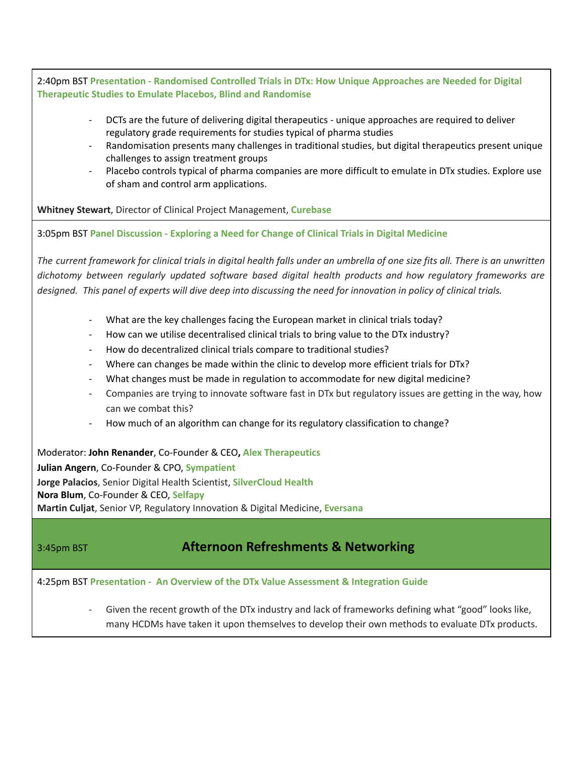2:40pm BST **Presentation - Randomised Controlled Trials in DTx: How Unique Approaches are Needed for Digital Therapeutic Studies to Emulate Placebos, Blind and Randomise**

- DCTs are the future of delivering digital therapeutics unique approaches are required to deliver regulatory grade requirements for studies typical of pharma studies
- Randomisation presents many challenges in traditional studies, but digital therapeutics present unique challenges to assign treatment groups
- Placebo controls typical of pharma companies are more difficult to emulate in DTx studies. Explore use of sham and control arm applications.

**Whitney Stewart**, Director of Clinical Project Management, **Curebase**

3:05pm BST **Panel Discussion - Exploring a Need for Change of Clinical Trials in Digital Medicine**

The current framework for clinical trials in digital health falls under an umbrella of one size fits all. There is an unwritten *dichotomy between regularly updated software based digital health products and how regulatory frameworks are* designed. This panel of experts will dive deep into discussing the need for innovation in policy of clinical trials.

- What are the key challenges facing the European market in clinical trials today?
- How can we utilise decentralised clinical trials to bring value to the DTx industry?
- How do decentralized clinical trials compare to traditional studies?
- Where can changes be made within the clinic to develop more efficient trials for DTx?
- What changes must be made in regulation to accommodate for new digital medicine?
- Companies are trying to innovate software fast in DTx but regulatory issues are getting in the way, how can we combat this?
- How much of an algorithm can change for its regulatory classification to change?

Moderator: **John Renander**, Co-Founder & CEO**, Alex Therapeutics Julian Angern**, Co-Founder & CPO, **Sympatient Jorge Palacios**, Senior Digital Health Scientist, **SilverCloud Health Nora Blum**, Co-Founder & CEO, **Selfapy Martin Culjat**, Senior VP, Regulatory Innovation & Digital Medicine, **Eversana**

## 3:45pm BST **Afternoon Refreshments & Networking**

4:25pm BST **Presentation - An Overview of the DTx Value Assessment & Integration Guide**

Given the recent growth of the DTx industry and lack of frameworks defining what "good" looks like, many HCDMs have taken it upon themselves to develop their own methods to evaluate DTx products.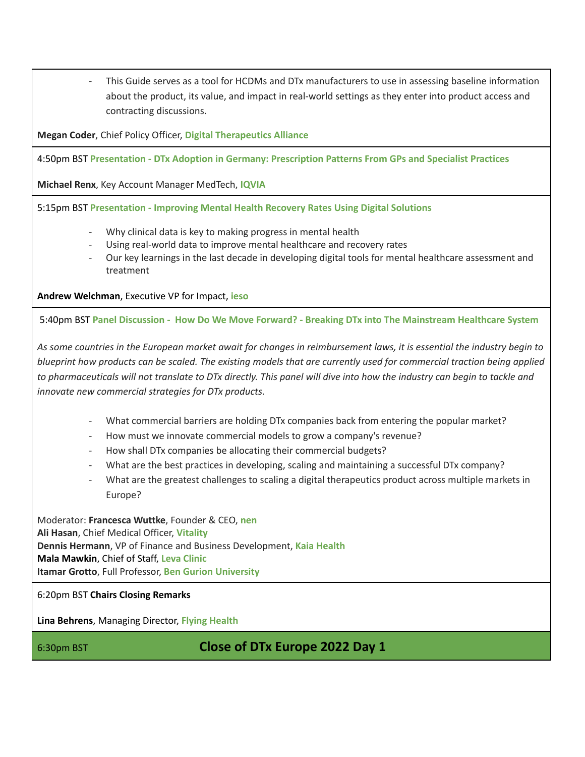This Guide serves as a tool for HCDMs and DTx manufacturers to use in assessing baseline information about the product, its value, and impact in real-world settings as they enter into product access and contracting discussions.

**Megan Coder**, Chief Policy Officer, **Digital Therapeutics Alliance**

4:50pm BST **Presentation - DTx Adoption in Germany: Prescription Patterns From GPs and Specialist Practices**

**Michael Renx**, Key Account Manager MedTech, **IQVIA**

5:15pm BST **Presentation - Improving Mental Health Recovery Rates Using Digital Solutions**

- Why clinical data is key to making progress in mental health
- Using real-world data to improve mental healthcare and recovery rates
- Our key learnings in the last decade in developing digital tools for mental healthcare assessment and treatment

**Andrew Welchman**, Executive VP for Impact, **ieso**

5:40pm BST **Panel Discussion - How Do We Move Forward? - Breaking DTx into The Mainstream Healthcare System**

As some countries in the European market await for changes in reimbursement laws, it is essential the industry begin to blueprint how products can be scaled. The existing models that are currently used for commercial traction being applied to pharmaceuticals will not translate to DTx directly. This panel will dive into how the industry can begin to tackle and *innovate new commercial strategies for DTx products.*

- What commercial barriers are holding DTx companies back from entering the popular market?
- How must we innovate commercial models to grow a company's revenue?
- How shall DTx companies be allocating their commercial budgets?
- What are the best practices in developing, scaling and maintaining a successful DTx company?
- What are the greatest challenges to scaling a digital therapeutics product across multiple markets in Europe?

Moderator: **Francesca Wuttke**, Founder & CEO, **nen Ali Hasan**, Chief Medical Officer, **Vitality Dennis Hermann**, VP of Finance and Business Development, **Kaia Health Mala Mawkin**, Chief of Staff, **Leva Clinic Itamar Grotto**, Full Professor, **Ben Gurion University**

6:20pm BST **Chairs Closing Remarks**

**Lina Behrens**, Managing Director, **Flying Health**

6:30pm BST **Close of DTx Europe 2022 Day 1**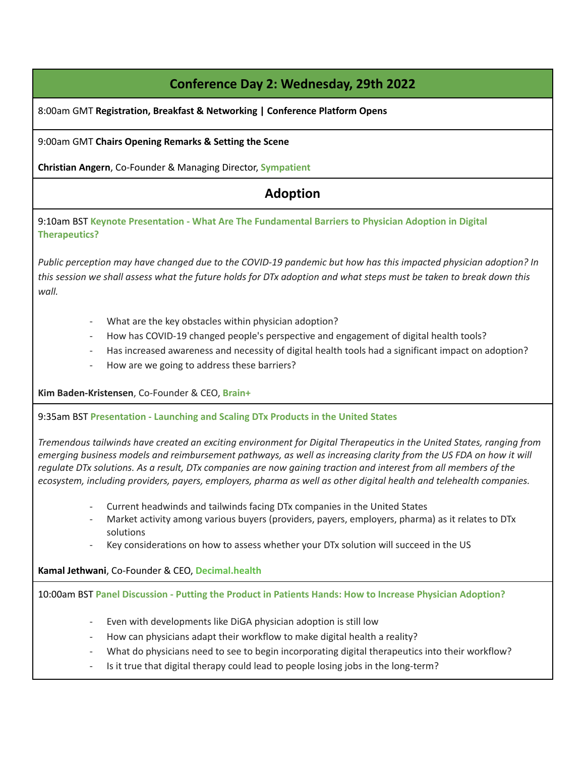# **Conference Day 2: Wednesday, 29th 2022**

8:00am GMT **Registration, Breakfast & Networking | Conference Platform Opens**

9:00am GMT **Chairs Opening Remarks & Setting the Scene**

**Christian Angern**, Co-Founder & Managing Director, **Sympatient**

## **Adoption**

9:10am BST **Keynote Presentation - What Are The Fundamental Barriers to Physician Adoption in Digital Therapeutics?**

Public perception may have changed due to the COVID-19 pandemic but how has this impacted physician adoption? In this session we shall assess what the future holds for DTx adoption and what steps must be taken to break down this *wall.*

- What are the key obstacles within physician adoption?
- How has COVID-19 changed people's perspective and engagement of digital health tools?
- Has increased awareness and necessity of digital health tools had a significant impact on adoption?
- How are we going to address these barriers?

**Kim Baden-Kristensen**, Co-Founder & CEO, **Brain+**

9:35am BST **Presentation - Launching and Scaling DTx Products in the United States**

Tremendous tailwinds have created an exciting environment for Digital Therapeutics in the United States, ranging from emerging business models and reimbursement pathways, as well as increasing clarity from the US FDA on how it will regulate DTx solutions. As a result, DTx companies are now gaining traction and interest from all members of the *ecosystem, including providers, payers, employers, pharma as well as other digital health and telehealth companies.*

- Current headwinds and tailwinds facing DTx companies in the United States
- Market activity among various buyers (providers, payers, employers, pharma) as it relates to DTx solutions
- Key considerations on how to assess whether your DTx solution will succeed in the US

**Kamal Jethwani**, Co-Founder & CEO, **Decimal.health**

10:00am BST **Panel Discussion - Putting the Product in Patients Hands: How to Increase Physician Adoption?**

- Even with developments like DiGA physician adoption is still low
- How can physicians adapt their workflow to make digital health a reality?
- What do physicians need to see to begin incorporating digital therapeutics into their workflow?
- Is it true that digital therapy could lead to people losing jobs in the long-term?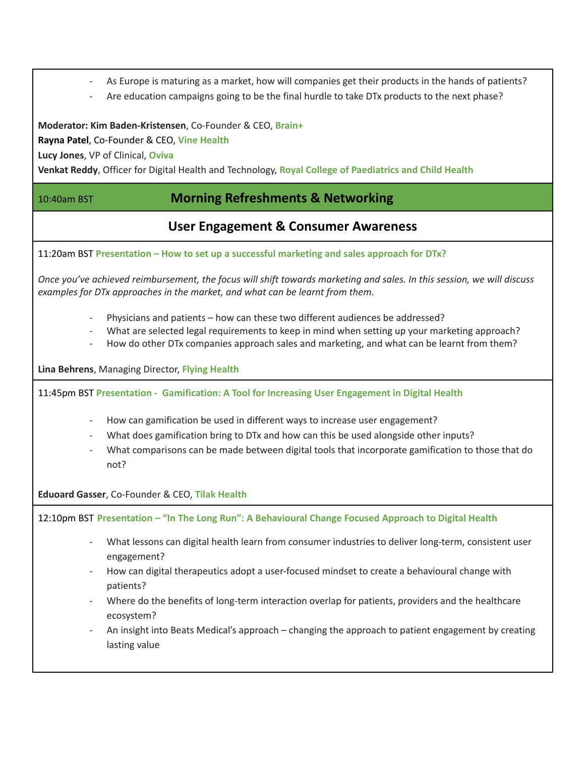- As Europe is maturing as a market, how will companies get their products in the hands of patients?
- Are education campaigns going to be the final hurdle to take DTx products to the next phase?

**Moderator: Kim Baden-Kristensen**, Co-Founder & CEO, **Brain+**

**Rayna Patel**, Co-Founder & CEO, **Vine Health**

**Lucy Jones**, VP of Clinical, **Oviva**

**Venkat Reddy**, Officer for Digital Health and Technology, **Royal College of Paediatrics and Child Health**

### 10:40am BST **Morning Refreshments & Networking**

### **User Engagement & Consumer Awareness**

11:20am BST **Presentation – How to set up a successful marketing and sales approach for DTx?**

Once you've achieved reimbursement, the focus will shift towards marketing and sales. In this session, we will discuss *examples for DTx approaches in the market, and what can be learnt from them.*

- Physicians and patients how can these two different audiences be addressed?
- What are selected legal requirements to keep in mind when setting up your marketing approach?
- How do other DTx companies approach sales and marketing, and what can be learnt from them?

**Lina Behrens**, Managing Director, **Flying Health**

11:45pm BST **Presentation - Gamification: A Tool for Increasing User Engagement in Digital Health**

- How can gamification be used in different ways to increase user engagement?
- What does gamification bring to DTx and how can this be used alongside other inputs?
- What comparisons can be made between digital tools that incorporate gamification to those that do not?

**Eduoard Gasser**, Co-Founder & CEO, **Tilak Health**

12:10pm BST **Presentation – "In The Long Run": A Behavioural Change Focused Approach to Digital Health**

- What lessons can digital health learn from consumer industries to deliver long-term, consistent user engagement?
- How can digital therapeutics adopt a user-focused mindset to create a behavioural change with patients?
- Where do the benefits of long-term interaction overlap for patients, providers and the healthcare ecosystem?
- An insight into Beats Medical's approach changing the approach to patient engagement by creating lasting value